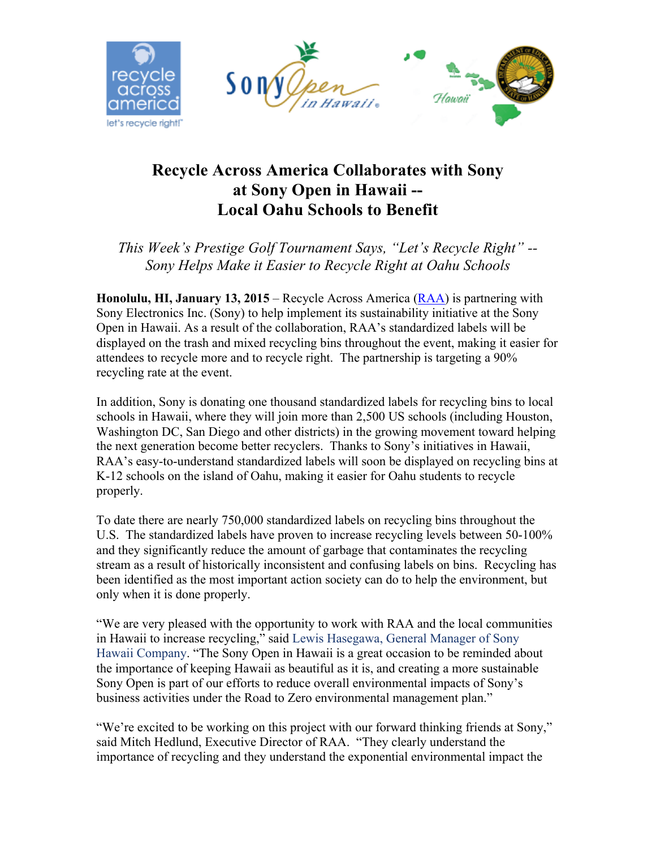

## **Recycle Across America Collaborates with Sony at Sony Open in Hawaii -- Local Oahu Schools to Benefit**

*This Week's Prestige Golf Tournament Says, "Let's Recycle Right" -- Sony Helps Make it Easier to Recycle Right at Oahu Schools*

**Honolulu, HI, January 13, 2015** – Recycle Across America (RAA) is partnering with Sony Electronics Inc. (Sony) to help implement its sustainability initiative at the Sony Open in Hawaii. As a result of the collaboration, RAA's standardized labels will be displayed on the trash and mixed recycling bins throughout the event, making it easier for attendees to recycle more and to recycle right. The partnership is targeting a 90% recycling rate at the event.

In addition, Sony is donating one thousand standardized labels for recycling bins to local schools in Hawaii, where they will join more than 2,500 US schools (including Houston, Washington DC, San Diego and other districts) in the growing movement toward helping the next generation become better recyclers. Thanks to Sony's initiatives in Hawaii, RAA's easy-to-understand standardized labels will soon be displayed on recycling bins at K-12 schools on the island of Oahu, making it easier for Oahu students to recycle properly.

To date there are nearly 750,000 standardized labels on recycling bins throughout the U.S. The standardized labels have proven to increase recycling levels between 50-100% and they significantly reduce the amount of garbage that contaminates the recycling stream as a result of historically inconsistent and confusing labels on bins. Recycling has been identified as the most important action society can do to help the environment, but only when it is done properly.

"We are very pleased with the opportunity to work with RAA and the local communities in Hawaii to increase recycling," said Lewis Hasegawa, General Manager of Sony Hawaii Company. "The Sony Open in Hawaii is a great occasion to be reminded about the importance of keeping Hawaii as beautiful as it is, and creating a more sustainable Sony Open is part of our efforts to reduce overall environmental impacts of Sony's business activities under the Road to Zero environmental management plan."

"We're excited to be working on this project with our forward thinking friends at Sony," said Mitch Hedlund, Executive Director of RAA. "They clearly understand the importance of recycling and they understand the exponential environmental impact the